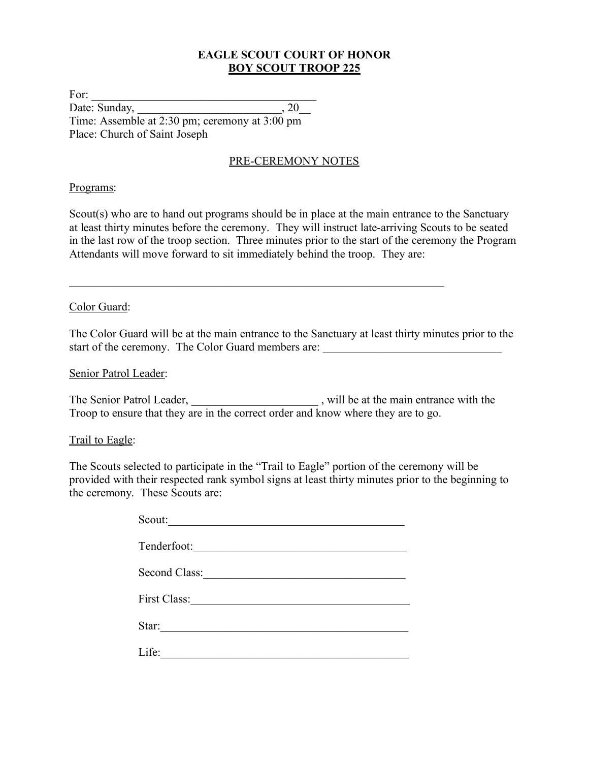### **EAGLE SCOUT COURT OF HONOR BOY SCOUT TROOP 225**

For: Date: Sunday, 20 Time: Assemble at 2:30 pm; ceremony at 3:00 pm Place: Church of Saint Joseph

#### PRE-CEREMONY NOTES

#### Programs:

Scout(s) who are to hand out programs should be in place at the main entrance to the Sanctuary at least thirty minutes before the ceremony. They will instruct late-arriving Scouts to be seated in the last row of the troop section. Three minutes prior to the start of the ceremony the Program Attendants will move forward to sit immediately behind the troop. They are:

 $\mathcal{L}_\text{max}$  , and the contribution of the contribution of the contribution of the contribution of the contribution of the contribution of the contribution of the contribution of the contribution of the contribution of t

#### Color Guard:

The Color Guard will be at the main entrance to the Sanctuary at least thirty minutes prior to the start of the ceremony. The Color Guard members are: \_\_\_\_\_\_\_\_\_\_\_\_\_\_\_\_\_\_\_\_\_\_\_\_\_\_\_\_\_\_\_

#### Senior Patrol Leader:

The Senior Patrol Leader, \_\_\_\_\_\_\_\_\_\_\_\_\_\_\_\_\_\_\_\_\_\_\_, will be at the main entrance with the Troop to ensure that they are in the correct order and know where they are to go.

#### Trail to Eagle:

The Scouts selected to participate in the "Trail to Eagle" portion of the ceremony will be provided with their respected rank symbol signs at least thirty minutes prior to the beginning to the ceremony. These Scouts are:

| Scout:                |
|-----------------------|
| Tenderfoot:           |
| Second Class:         |
| First Class:          |
| Star: $\qquad \qquad$ |
| Life:                 |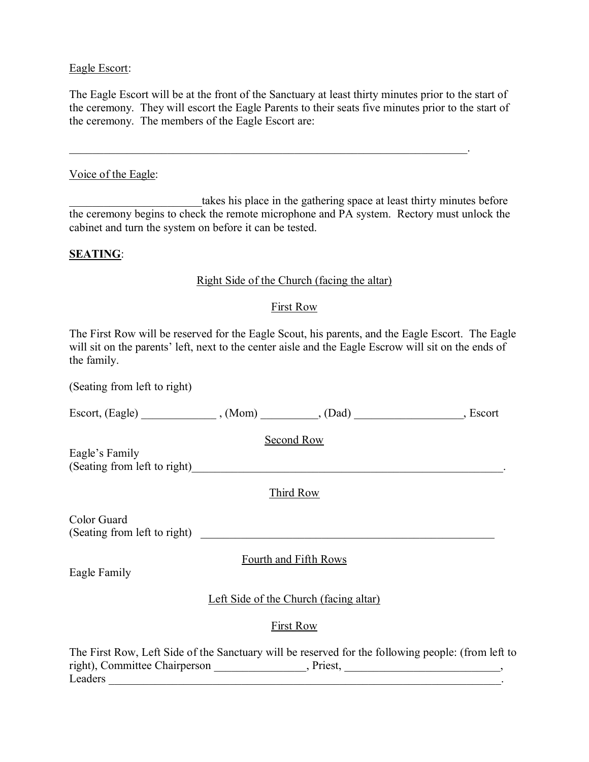#### Eagle Escort:

The Eagle Escort will be at the front of the Sanctuary at least thirty minutes prior to the start of the ceremony. They will escort the Eagle Parents to their seats five minutes prior to the start of the ceremony. The members of the Eagle Escort are:

 $\mathcal{L}_\mathcal{L} = \mathcal{L}_\mathcal{L} = \mathcal{L}_\mathcal{L} = \mathcal{L}_\mathcal{L} = \mathcal{L}_\mathcal{L} = \mathcal{L}_\mathcal{L} = \mathcal{L}_\mathcal{L} = \mathcal{L}_\mathcal{L} = \mathcal{L}_\mathcal{L} = \mathcal{L}_\mathcal{L} = \mathcal{L}_\mathcal{L} = \mathcal{L}_\mathcal{L} = \mathcal{L}_\mathcal{L} = \mathcal{L}_\mathcal{L} = \mathcal{L}_\mathcal{L} = \mathcal{L}_\mathcal{L} = \mathcal{L}_\mathcal{L}$ 

#### Voice of the Eagle:

takes his place in the gathering space at least thirty minutes before the ceremony begins to check the remote microphone and PA system. Rectory must unlock the cabinet and turn the system on before it can be tested.

#### **SEATING**:

#### Right Side of the Church (facing the altar)

#### First Row

The First Row will be reserved for the Eagle Scout, his parents, and the Eagle Escort. The Eagle will sit on the parents' left, next to the center aisle and the Eagle Escrow will sit on the ends of the family.

(Seating from left to right)

Escort, (Eagle) \_\_\_\_\_\_\_\_\_\_\_\_\_\_\_, (Mom) \_\_\_\_\_\_\_\_\_, (Dad) \_\_\_\_\_\_\_\_\_\_\_\_\_\_\_, Escort

Second Row

Eagle's Family (Seating from left to right)\_\_\_\_\_\_\_\_\_\_\_\_\_\_\_\_\_\_\_\_\_\_\_\_\_\_\_\_\_\_\_\_\_\_\_\_\_\_\_\_\_\_\_\_\_\_\_\_\_\_\_\_\_\_.

Third Row

Color Guard (Seating from left to right)

Fourth and Fifth Rows

Eagle Family

Left Side of the Church (facing altar)

First Row

The First Row, Left Side of the Sanctuary will be reserved for the following people: (from left to right), Committee Chairperson [100], Priest, 2003, Priest, 2004, 2004, 2006, 2004, 2006, 2006, 2006, 2006, 200 Leaders **Leaders**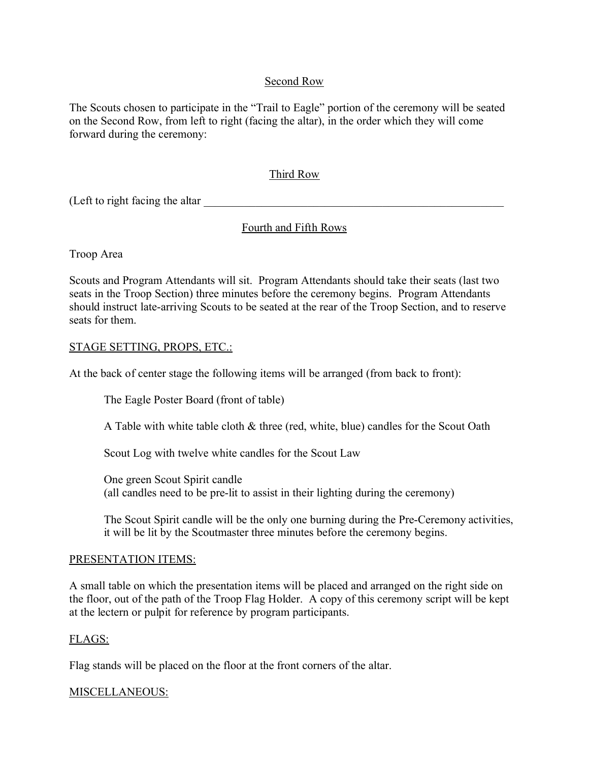### Second Row

The Scouts chosen to participate in the "Trail to Eagle" portion of the ceremony will be seated on the Second Row, from left to right (facing the altar), in the order which they will come forward during the ceremony:

### Third Row

(Left to right facing the altar

### Fourth and Fifth Rows

Troop Area

Scouts and Program Attendants will sit. Program Attendants should take their seats (last two seats in the Troop Section) three minutes before the ceremony begins. Program Attendants should instruct late-arriving Scouts to be seated at the rear of the Troop Section, and to reserve seats for them.

#### STAGE SETTING, PROPS, ETC.:

At the back of center stage the following items will be arranged (from back to front):

The Eagle Poster Board (front of table)

A Table with white table cloth & three (red, white, blue) candles for the Scout Oath

Scout Log with twelve white candles for the Scout Law

One green Scout Spirit candle (all candles need to be pre-lit to assist in their lighting during the ceremony)

The Scout Spirit candle will be the only one burning during the Pre-Ceremony activities, it will be lit by the Scoutmaster three minutes before the ceremony begins.

#### PRESENTATION ITEMS:

A small table on which the presentation items will be placed and arranged on the right side on the floor, out of the path of the Troop Flag Holder. A copy of this ceremony script will be kept at the lectern or pulpit for reference by program participants.

#### FLAGS:

Flag stands will be placed on the floor at the front corners of the altar.

#### MISCELLANEOUS: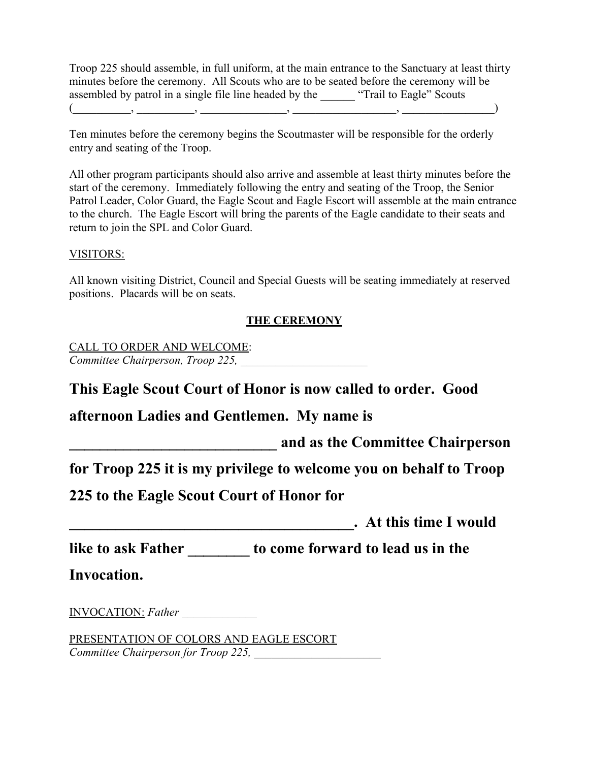Troop 225 should assemble, in full uniform, at the main entrance to the Sanctuary at least thirty minutes before the ceremony. All Scouts who are to be seated before the ceremony will be assembled by patrol in a single file line headed by the "Trail to Eagle" Scouts  $(\_\_\_\_\_\_\_\_\_$ 

Ten minutes before the ceremony begins the Scoutmaster will be responsible for the orderly entry and seating of the Troop.

All other program participants should also arrive and assemble at least thirty minutes before the start of the ceremony. Immediately following the entry and seating of the Troop, the Senior Patrol Leader, Color Guard, the Eagle Scout and Eagle Escort will assemble at the main entrance to the church. The Eagle Escort will bring the parents of the Eagle candidate to their seats and return to join the SPL and Color Guard.

#### VISITORS:

All known visiting District, Council and Special Guests will be seating immediately at reserved positions. Placards will be on seats.

### **THE CEREMONY**

CALL TO ORDER AND WELCOME: *Committee Chairperson, Troop 225, \_\_\_\_\_\_\_\_\_\_\_\_\_\_\_\_\_\_\_\_\_\_*

**This Eagle Scout Court of Honor is now called to order. Good** 

### **afternoon Ladies and Gentlemen. My name is**

**\_\_\_\_\_\_\_\_\_\_\_\_\_\_\_\_\_\_\_\_\_\_\_\_\_\_\_ and as the Committee Chairperson** 

**for Troop 225 it is my privilege to welcome you on behalf to Troop** 

**225 to the Eagle Scout Court of Honor for** 

**a**  $\bf{A}$  **has time I would** 

**like to ask Father \_\_\_\_\_\_\_\_ to come forward to lead us in the** 

**Invocation.**

INVOCATION: *Father \_\_\_\_\_\_\_\_\_\_\_\_\_*

PRESENTATION OF COLORS AND EAGLE ESCORT *Committee Chairperson for Troop 225,*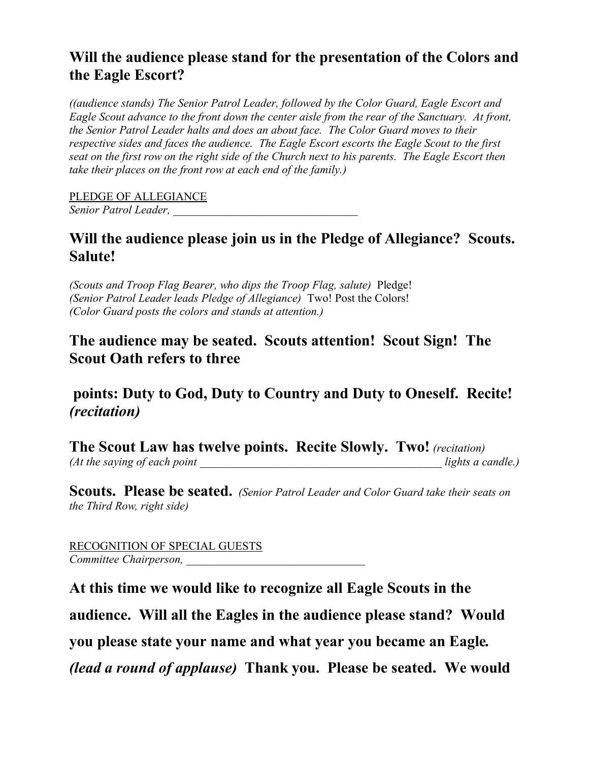## **Will the audience please stand for the presentation of the Colors and the Eagle Escort?**

*((audience stands) The Senior Patrol Leader, followed by the Color Guard, Eagle Escort and Eagle Scout advance to the front down the center aisle from the rear of the Sanctuary. At front, the Senior Patrol Leader halts and does an about face. The Color Guard moves to their respective sides and faces the audience. The Eagle Escort escorts the Eagle Scout to the first seat on the first row on the right side of the Church next to his parents. The Eagle Escort then take their places on the front row at each end of the family.)*

PLEDGE OF ALLEGIANCE *Senior Patrol Leader,* 

## **Will the audience please join us in the Pledge of Allegiance? Scouts. Salute!**

*(Scouts and Troop Flag Bearer, who dips the Troop Flag, salute)* Pledge! *(Senior Patrol Leader leads Pledge of Allegiance)* Two! Post the Colors! *(Color Guard posts the colors and stands at attention.)*

## **The audience may be seated. Scouts attention! Scout Sign! The Scout Oath refers to three**

## **points: Duty to God, Duty to Country and Duty to Oneself. Recite!** *(recitation)*

**The Scout Law has twelve points. Recite Slowly. Two!** *(recitation) (At the saying of each point lights a candle.)* 

**Scouts. Please be seated.** *(Senior Patrol Leader and Color Guard take their seats on the Third Row, right side)*

RECOGNITION OF SPECIAL GUESTS *Committee Chairperson, \_\_\_\_\_\_\_\_\_\_\_\_\_\_\_\_\_\_\_\_\_\_\_\_\_\_\_\_\_\_\_*

**At this time we would like to recognize all Eagle Scouts in the audience. Will all the Eagles in the audience please stand? Would you please state your name and what year you became an Eagle***. (lead a round of applause)* **Thank you. Please be seated. We would**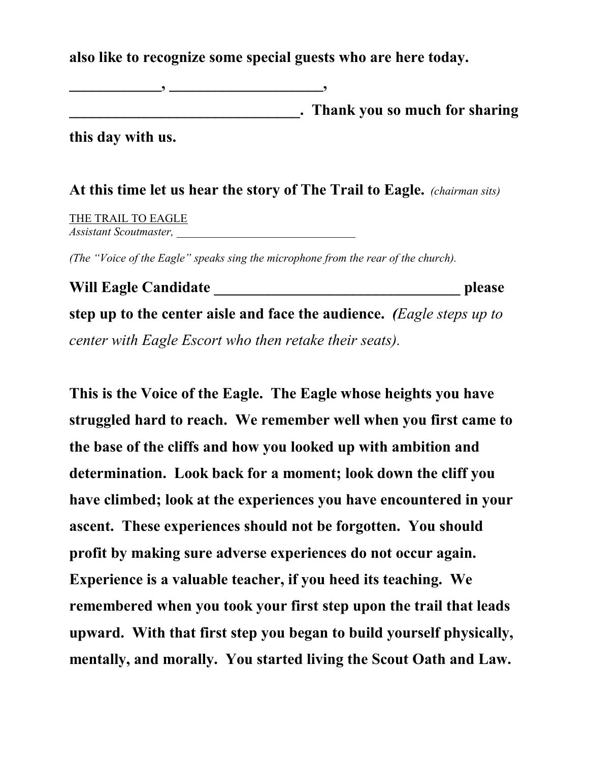**also like to recognize some special guests who are here today.** 

**\_\_\_\_\_\_\_\_\_\_\_\_, \_\_\_\_\_\_\_\_\_\_\_\_\_\_\_\_\_\_\_\_,** 

**\_\_\_\_\_\_\_\_\_\_\_\_\_\_\_\_\_\_\_\_\_\_\_\_\_\_\_\_\_\_. Thank you so much for sharing** 

**this day with us.**

**At this time let us hear the story of The Trail to Eagle.** *(chairman sits)*

THE TRAIL TO EAGLE *Assistant Scoutmaster, \_\_\_\_\_\_\_\_\_\_\_\_\_\_\_\_\_\_\_\_\_\_\_\_\_\_\_\_\_\_\_*

*(The "Voice of the Eagle" speaks sing the microphone from the rear of the church).*

**Will Eagle Candidate \_\_\_\_\_\_\_\_\_\_\_\_\_\_\_\_\_\_\_\_\_\_\_\_\_\_\_\_\_\_\_\_ please step up to the center aisle and face the audience.** *(Eagle steps up to center with Eagle Escort who then retake their seats).*

**This is the Voice of the Eagle. The Eagle whose heights you have struggled hard to reach. We remember well when you first came to the base of the cliffs and how you looked up with ambition and determination. Look back for a moment; look down the cliff you have climbed; look at the experiences you have encountered in your ascent. These experiences should not be forgotten. You should profit by making sure adverse experiences do not occur again. Experience is a valuable teacher, if you heed its teaching. We remembered when you took your first step upon the trail that leads upward. With that first step you began to build yourself physically, mentally, and morally. You started living the Scout Oath and Law.**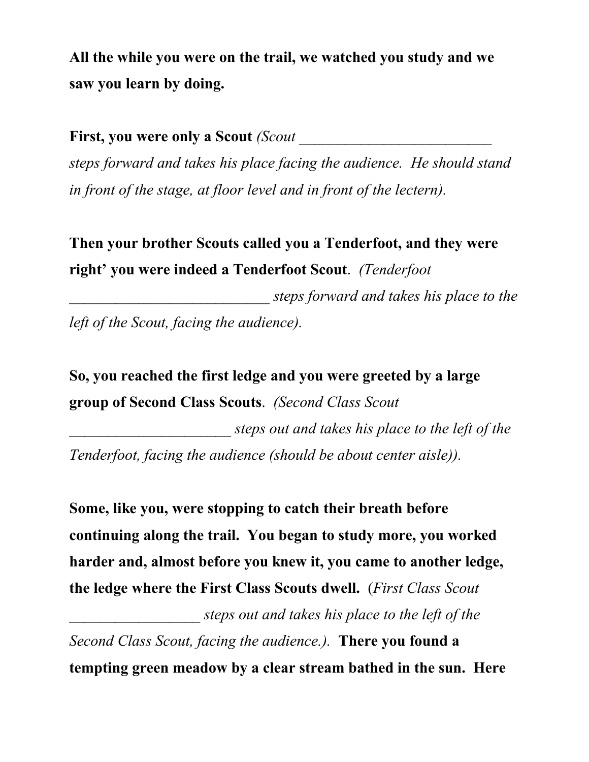**All the while you were on the trail, we watched you study and we saw you learn by doing.** 

**First, you were only a Scout** *(Scout* 

*steps forward and takes his place facing the audience. He should stand in front of the stage, at floor level and in front of the lectern).*

**Then your brother Scouts called you a Tenderfoot, and they were right' you were indeed a Tenderfoot Scout**. *(Tenderfoot* 

*\_\_\_\_\_\_\_\_\_\_\_\_\_\_\_\_\_\_\_\_\_\_\_\_\_\_ steps forward and takes his place to the left of the Scout, facing the audience).*

**So, you reached the first ledge and you were greeted by a large group of Second Class Scouts**. *(Second Class Scout* 

*\_\_\_\_\_\_\_\_\_\_\_\_\_\_\_\_\_\_\_\_\_ steps out and takes his place to the left of the Tenderfoot, facing the audience (should be about center aisle)).*

**Some, like you, were stopping to catch their breath before continuing along the trail. You began to study more, you worked harder and, almost before you knew it, you came to another ledge, the ledge where the First Class Scouts dwell.** (*First Class Scout* 

*\_\_\_\_\_\_\_\_\_\_\_\_\_\_\_\_\_ steps out and takes his place to the left of the Second Class Scout, facing the audience.).* **There you found a tempting green meadow by a clear stream bathed in the sun. Here**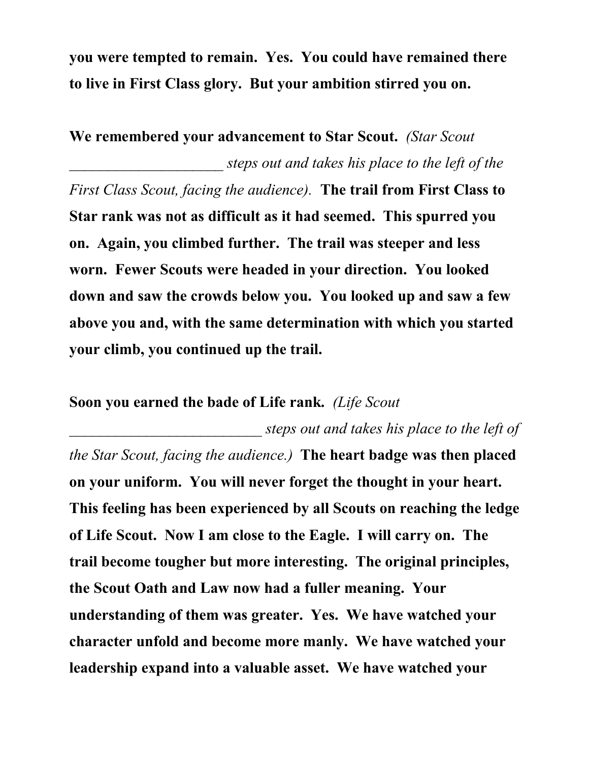**you were tempted to remain. Yes. You could have remained there to live in First Class glory. But your ambition stirred you on.** 

**We remembered your advancement to Star Scout.** *(Star Scout \_\_\_\_\_\_\_\_\_\_\_\_\_\_\_\_\_\_\_\_ steps out and takes his place to the left of the First Class Scout, facing the audience).* **The trail from First Class to Star rank was not as difficult as it had seemed. This spurred you on. Again, you climbed further. The trail was steeper and less worn. Fewer Scouts were headed in your direction. You looked down and saw the crowds below you. You looked up and saw a few above you and, with the same determination with which you started your climb, you continued up the trail.** 

## **Soon you earned the bade of Life rank.** *(Life Scout*

*\_\_\_\_\_\_\_\_\_\_\_\_\_\_\_\_\_\_\_\_\_\_\_\_\_ steps out and takes his place to the left of the Star Scout, facing the audience.)* **The heart badge was then placed on your uniform. You will never forget the thought in your heart. This feeling has been experienced by all Scouts on reaching the ledge of Life Scout. Now I am close to the Eagle. I will carry on. The trail become tougher but more interesting. The original principles, the Scout Oath and Law now had a fuller meaning. Your understanding of them was greater. Yes. We have watched your character unfold and become more manly. We have watched your leadership expand into a valuable asset. We have watched your**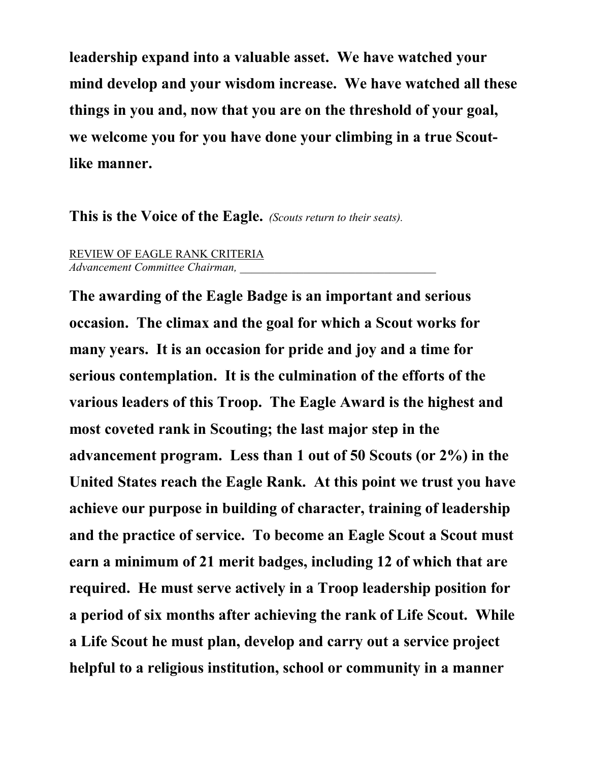**leadership expand into a valuable asset. We have watched your mind develop and your wisdom increase. We have watched all these things in you and, now that you are on the threshold of your goal, we welcome you for you have done your climbing in a true Scoutlike manner.**

**This is the Voice of the Eagle.** *(Scouts return to their seats).*

REVIEW OF EAGLE RANK CRITERIA *Advancement Committee Chairman, \_\_\_\_\_\_\_\_\_\_\_\_\_\_\_\_\_\_\_\_\_\_\_\_\_\_\_\_\_\_\_\_\_\_*

**The awarding of the Eagle Badge is an important and serious occasion. The climax and the goal for which a Scout works for many years. It is an occasion for pride and joy and a time for serious contemplation. It is the culmination of the efforts of the various leaders of this Troop. The Eagle Award is the highest and most coveted rank in Scouting; the last major step in the advancement program. Less than 1 out of 50 Scouts (or 2%) in the United States reach the Eagle Rank. At this point we trust you have achieve our purpose in building of character, training of leadership and the practice of service. To become an Eagle Scout a Scout must earn a minimum of 21 merit badges, including 12 of which that are required. He must serve actively in a Troop leadership position for a period of six months after achieving the rank of Life Scout. While a Life Scout he must plan, develop and carry out a service project helpful to a religious institution, school or community in a manner**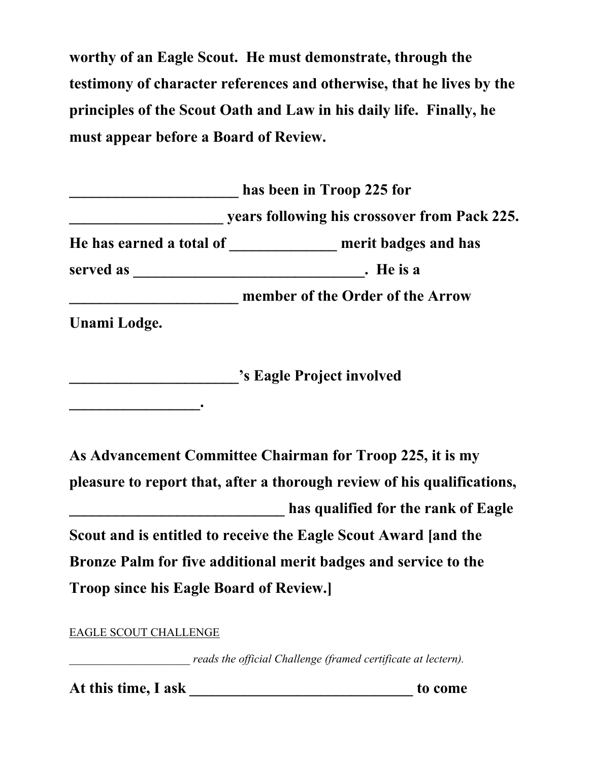**worthy of an Eagle Scout. He must demonstrate, through the testimony of character references and otherwise, that he lives by the principles of the Scout Oath and Law in his daily life. Finally, he must appear before a Board of Review.** 

|                          | has been in Troop 225 for                    |  |
|--------------------------|----------------------------------------------|--|
|                          | years following his crossover from Pack 225. |  |
| He has earned a total of | merit badges and has                         |  |
| served as                | . He is a                                    |  |
|                          | member of the Order of the Arrow             |  |

**Unami Lodge.** 

**\_\_\_\_\_\_\_\_\_\_\_\_\_\_\_\_\_.**

**\_\_\_\_\_\_\_\_\_\_\_\_\_\_\_\_\_\_\_\_\_\_'s Eagle Project involved** 

**As Advancement Committee Chairman for Troop 225, it is my pleasure to report that, after a thorough review of his qualifications, \_\_\_\_\_\_\_\_\_\_\_\_\_\_\_\_\_\_\_\_\_\_\_\_\_\_\_\_ has qualified for the rank of Eagle Scout and is entitled to receive the Eagle Scout Award [and the Bronze Palm for five additional merit badges and service to the Troop since his Eagle Board of Review.]**

EAGLE SCOUT CHALLENGE

*reads the official Challenge (framed certificate at lectern).* 

**At this time, I ask \_\_\_\_\_\_\_\_\_\_\_\_\_\_\_\_\_\_\_\_\_\_\_\_\_\_\_\_\_ to come**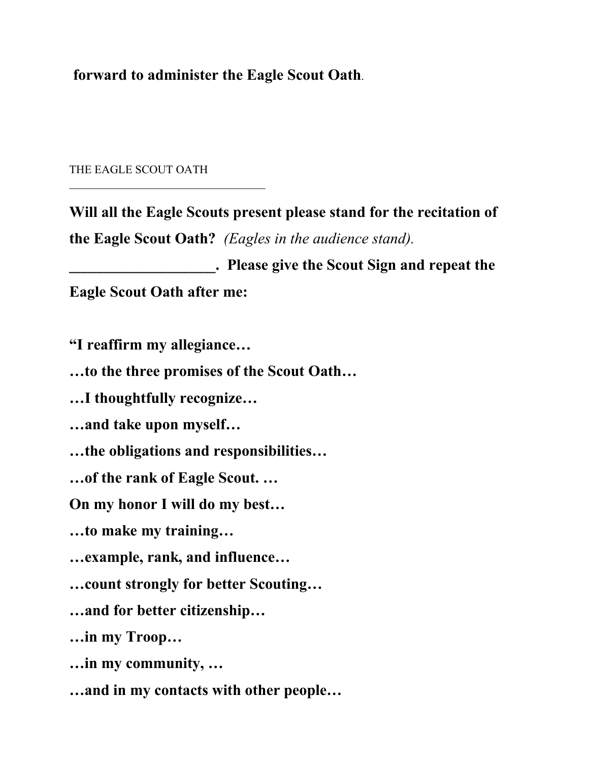**forward to administer the Eagle Scout Oath**.

THE EAGLE SCOUT OATH

**Will all the Eagle Scouts present please stand for the recitation of the Eagle Scout Oath?** *(Eagles in the audience stand).*

**\_\_\_\_\_\_\_\_\_\_\_\_\_\_\_\_\_\_\_. Please give the Scout Sign and repeat the Eagle Scout Oath after me:**

**"I reaffirm my allegiance…**

**…to the three promises of the Scout Oath…**

**…I thoughtfully recognize…**

**…and take upon myself…**

**…the obligations and responsibilities…** 

**…of the rank of Eagle Scout. …**

**On my honor I will do my best…**

**…to make my training…**

**…example, rank, and influence…**

**…count strongly for better Scouting…**

**…and for better citizenship…**

**…in my Troop…**

**…in my community, …**

**…and in my contacts with other people…**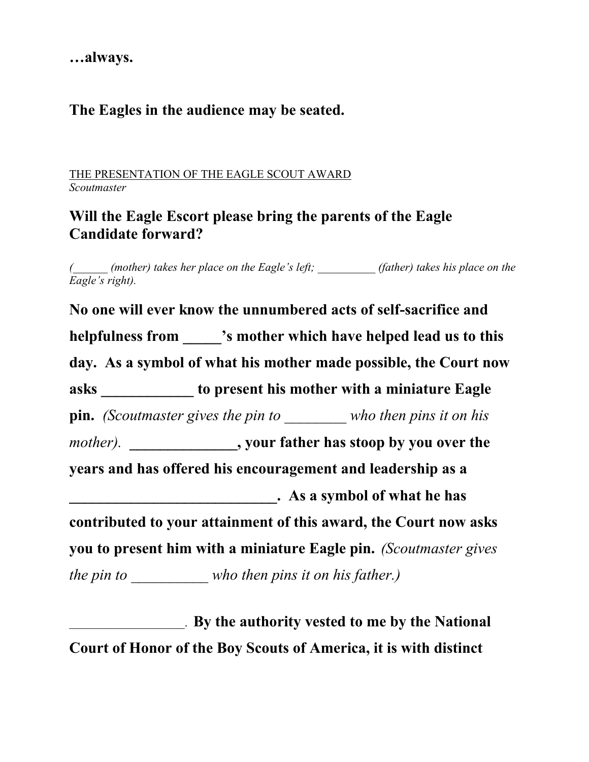**…always.**

## **The Eagles in the audience may be seated.**

THE PRESENTATION OF THE EAGLE SCOUT AWARD *Scoutmaster*

## **Will the Eagle Escort please bring the parents of the Eagle Candidate forward?**

*(\_\_\_\_\_\_ (mother) takes her place on the Eagle's left; \_\_\_\_\_\_\_\_\_\_ (father) takes his place on the Eagle's right).* 

**No one will ever know the unnumbered acts of self-sacrifice and helpfulness from \_\_\_\_\_'s mother which have helped lead us to this day. As a symbol of what his mother made possible, the Court now asks \_\_\_\_\_\_\_\_\_\_\_\_ to present his mother with a miniature Eagle pin.** *(Scoutmaster gives the pin to \_\_\_\_\_\_\_\_ who then pins it on his mother).* **\_\_\_\_\_\_\_\_\_\_\_\_\_\_, your father has stoop by you over the years and has offered his encouragement and leadership as a \_\_\_\_\_\_\_\_\_\_\_\_\_\_\_\_\_\_\_\_\_\_\_\_\_\_\_. As a symbol of what he has contributed to your attainment of this award, the Court now asks you to present him with a miniature Eagle pin.** *(Scoutmaster gives the pin to who then pins it on his father.)* 

\_\_\_\_\_\_\_\_\_\_\_\_\_\_\_\_\_\_\_\_. **By the authority vested to me by the National Court of Honor of the Boy Scouts of America, it is with distinct**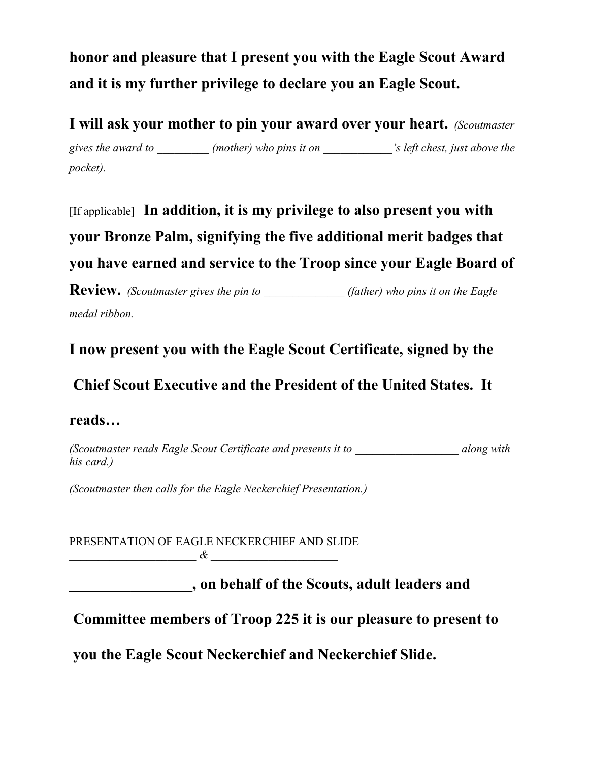**honor and pleasure that I present you with the Eagle Scout Award and it is my further privilege to declare you an Eagle Scout.**

**I will ask your mother to pin your award over your heart.** *(Scoutmaster gives the award to \_\_\_\_\_\_\_\_\_ (mother) who pins it on \_\_\_\_\_\_\_\_\_\_\_\_'s left chest, just above the pocket).* 

[If applicable] **In addition, it is my privilege to also present you with your Bronze Palm, signifying the five additional merit badges that you have earned and service to the Troop since your Eagle Board of** 

**Review.** *(Scoutmaster gives the pin to (father) who pins it on the Eagle medal ribbon.*

**I now present you with the Eagle Scout Certificate, signed by the**

**Chief Scout Executive and the President of the United States. It** 

## **reads…**

*(Scoutmaster reads Eagle Scout Certificate and presents it to \_\_\_\_\_\_\_\_\_\_\_\_\_\_\_\_\_\_ along with his card.)*

*(Scoutmaster then calls for the Eagle Neckerchief Presentation.)*

PRESENTATION OF EAGLE NECKERCHIEF AND SLIDE *\_\_\_\_\_\_\_\_\_\_\_\_\_\_\_\_\_\_\_\_\_\_ & \_\_\_\_\_\_\_\_\_\_\_\_\_\_\_\_\_\_\_\_\_\_*

**\_\_\_\_\_\_\_\_\_\_\_\_\_\_\_\_, on behalf of the Scouts, adult leaders and**

**Committee members of Troop 225 it is our pleasure to present to**

**you the Eagle Scout Neckerchief and Neckerchief Slide.**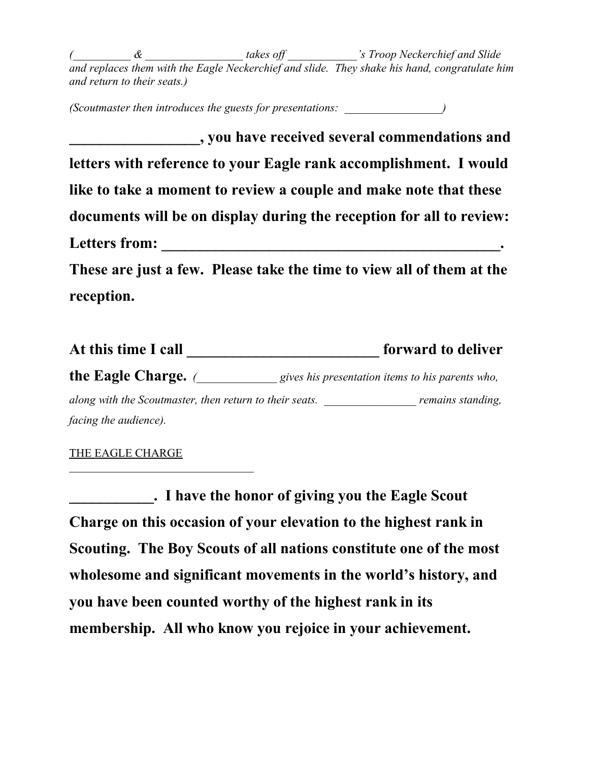*(\_\_\_\_\_\_\_\_\_\_ & \_\_\_\_\_\_\_\_\_\_\_\_\_\_\_\_\_ takes off \_\_\_\_\_\_\_\_\_\_\_\_'s Troop Neckerchief and Slide and replaces them with the Eagle Neckerchief and slide. They shake his hand, congratulate him and return to their seats.)*

*(Scoutmaster then introduces the guests for presentations: \_\_\_\_\_\_\_\_\_\_\_\_\_\_\_\_\_)*

**\_\_\_\_\_\_\_\_\_\_\_\_\_\_\_\_\_, you have received several commendations and letters with reference to your Eagle rank accomplishment. I would like to take a moment to review a couple and make note that these documents will be on display during the reception for all to review: Letters from: \_\_\_\_\_\_\_\_\_\_\_\_\_\_\_\_\_\_\_\_\_\_\_\_\_\_\_\_\_\_\_\_\_\_\_\_\_\_\_\_\_\_\_\_. These are just a few. Please take the time to view all of them at the** 

**reception.** 

| At this time I call                                     | forward to deliver                               |  |  |
|---------------------------------------------------------|--------------------------------------------------|--|--|
| the Eagle Charge. $($                                   | gives his presentation items to his parents who, |  |  |
| along with the Scoutmaster, then return to their seats. | remains standing,                                |  |  |
| facing the audience).                                   |                                                  |  |  |

### THE EAGLE CHARGE

**\_\_\_\_\_\_\_\_\_\_\_. I have the honor of giving you the Eagle Scout Charge on this occasion of your elevation to the highest rank in Scouting. The Boy Scouts of all nations constitute one of the most wholesome and significant movements in the world's history, and you have been counted worthy of the highest rank in its membership. All who know you rejoice in your achievement.**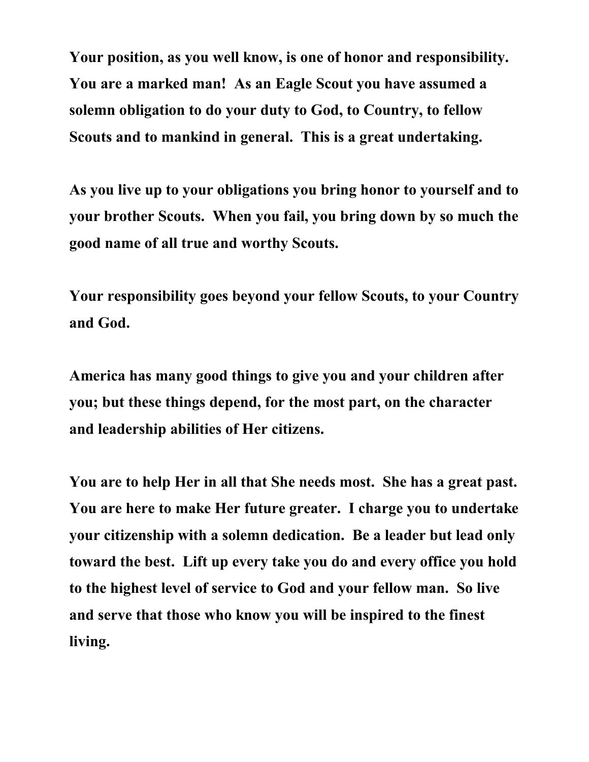**Your position, as you well know, is one of honor and responsibility. You are a marked man! As an Eagle Scout you have assumed a solemn obligation to do your duty to God, to Country, to fellow Scouts and to mankind in general. This is a great undertaking.** 

**As you live up to your obligations you bring honor to yourself and to your brother Scouts. When you fail, you bring down by so much the good name of all true and worthy Scouts.** 

**Your responsibility goes beyond your fellow Scouts, to your Country and God.** 

**America has many good things to give you and your children after you; but these things depend, for the most part, on the character and leadership abilities of Her citizens.** 

**You are to help Her in all that She needs most. She has a great past. You are here to make Her future greater. I charge you to undertake your citizenship with a solemn dedication. Be a leader but lead only toward the best. Lift up every take you do and every office you hold to the highest level of service to God and your fellow man. So live and serve that those who know you will be inspired to the finest living.**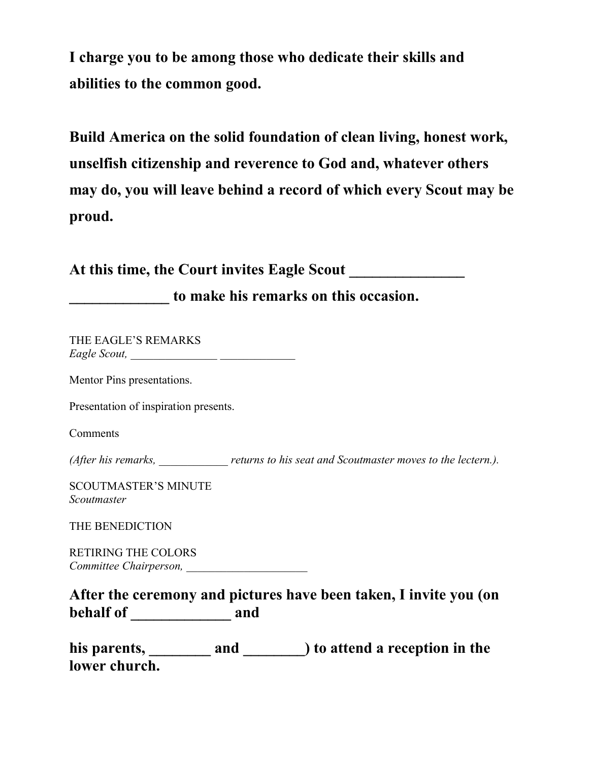**I charge you to be among those who dedicate their skills and abilities to the common good.** 

**Build America on the solid foundation of clean living, honest work, unselfish citizenship and reverence to God and, whatever others may do, you will leave behind a record of which every Scout may be proud.** 

| to make his remarks on this occasion.      |  |                                                                                 |  |
|--------------------------------------------|--|---------------------------------------------------------------------------------|--|
| THE EAGLE'S REMARKS                        |  |                                                                                 |  |
| Mentor Pins presentations.                 |  |                                                                                 |  |
| Presentation of inspiration presents.      |  |                                                                                 |  |
| Comments                                   |  |                                                                                 |  |
|                                            |  | (After his remarks, returns to his seat and Scoutmaster moves to the lectern.). |  |
| <b>SCOUTMASTER'S MINUTE</b><br>Scoutmaster |  |                                                                                 |  |
| THE BENEDICTION                            |  |                                                                                 |  |
| <b>RETIRING THE COLORS</b>                 |  |                                                                                 |  |
|                                            |  | After the ceremony and pictures have been taken, I invite you (on               |  |
| lower church.                              |  |                                                                                 |  |